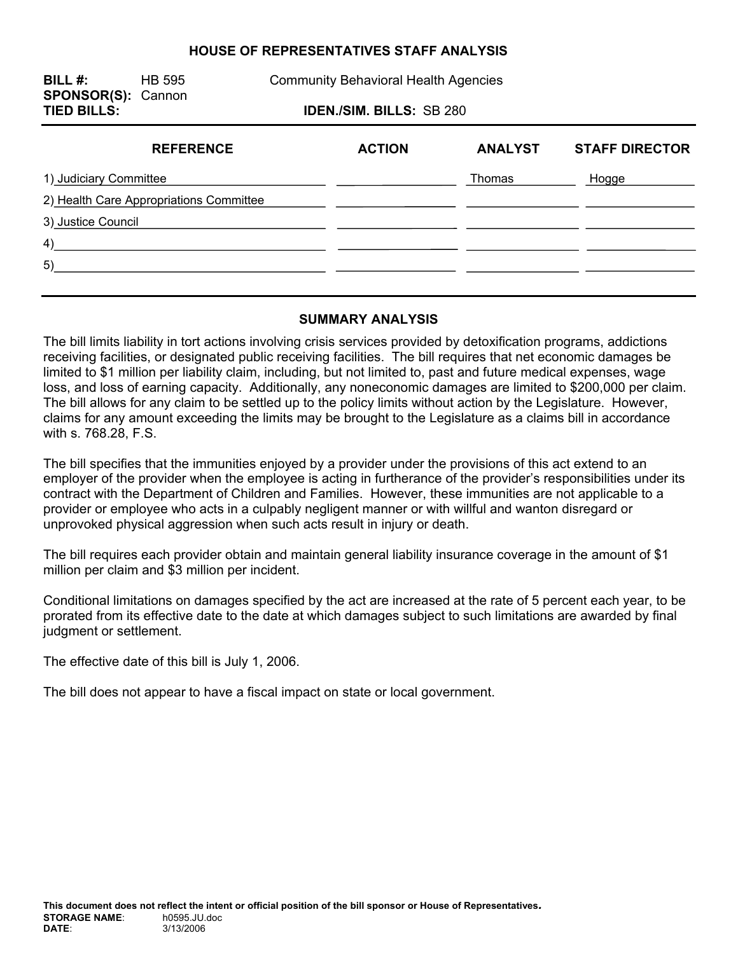#### **HOUSE OF REPRESENTATIVES STAFF ANALYSIS**

**BILL #:** HB 595 Community Behavioral Health Agencies **SPONSOR(S):** Cannon **TIED BILLS: IDEN./SIM. BILLS:** SB 280

| <b>REFERENCE</b>                        | <b>ACTION</b> | <b>ANALYST</b> | <b>STAFF DIRECTOR</b> |
|-----------------------------------------|---------------|----------------|-----------------------|
| 1) Judiciary Committee                  |               | Thomas         | Hogge                 |
| 2) Health Care Appropriations Committee |               |                |                       |
| 3) Justice Council                      |               |                |                       |
| 4)                                      |               |                |                       |
| 5)                                      |               |                |                       |
|                                         |               |                |                       |

#### **SUMMARY ANALYSIS**

The bill limits liability in tort actions involving crisis services provided by detoxification programs, addictions receiving facilities, or designated public receiving facilities. The bill requires that net economic damages be limited to \$1 million per liability claim, including, but not limited to, past and future medical expenses, wage loss, and loss of earning capacity. Additionally, any noneconomic damages are limited to \$200,000 per claim. The bill allows for any claim to be settled up to the policy limits without action by the Legislature. However, claims for any amount exceeding the limits may be brought to the Legislature as a claims bill in accordance with s. 768.28, F.S.

The bill specifies that the immunities enjoyed by a provider under the provisions of this act extend to an employer of the provider when the employee is acting in furtherance of the provider's responsibilities under its contract with the Department of Children and Families. However, these immunities are not applicable to a provider or employee who acts in a culpably negligent manner or with willful and wanton disregard or unprovoked physical aggression when such acts result in injury or death.

The bill requires each provider obtain and maintain general liability insurance coverage in the amount of \$1 million per claim and \$3 million per incident.

Conditional limitations on damages specified by the act are increased at the rate of 5 percent each year, to be prorated from its effective date to the date at which damages subject to such limitations are awarded by final judgment or settlement.

The effective date of this bill is July 1, 2006.

The bill does not appear to have a fiscal impact on state or local government.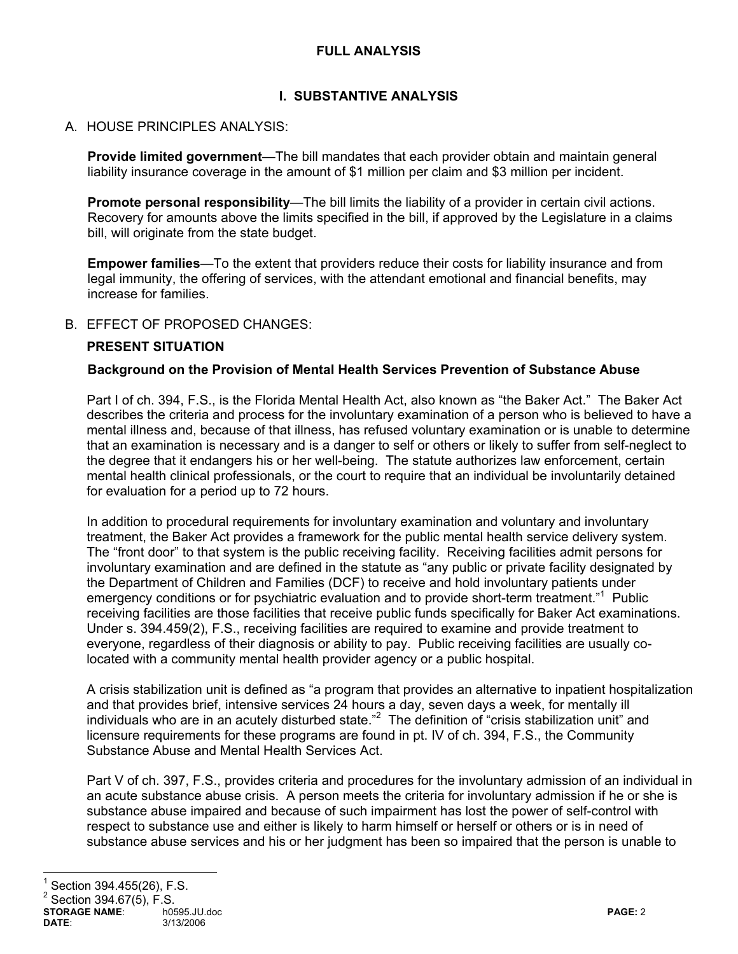# **FULL ANALYSIS**

# **I. SUBSTANTIVE ANALYSIS**

#### A. HOUSE PRINCIPLES ANALYSIS:

**Provide limited government**—The bill mandates that each provider obtain and maintain general liability insurance coverage in the amount of \$1 million per claim and \$3 million per incident.

**Promote personal responsibility**—The bill limits the liability of a provider in certain civil actions. Recovery for amounts above the limits specified in the bill, if approved by the Legislature in a claims bill, will originate from the state budget.

**Empower families**—To the extent that providers reduce their costs for liability insurance and from legal immunity, the offering of services, with the attendant emotional and financial benefits, may increase for families.

#### B. EFFECT OF PROPOSED CHANGES:

#### **PRESENT SITUATION**

#### **Background on the Provision of Mental Health Services Prevention of Substance Abuse**

Part I of ch. 394, F.S., is the Florida Mental Health Act, also known as "the Baker Act." The Baker Act describes the criteria and process for the involuntary examination of a person who is believed to have a mental illness and, because of that illness, has refused voluntary examination or is unable to determine that an examination is necessary and is a danger to self or others or likely to suffer from self-neglect to the degree that it endangers his or her well-being. The statute authorizes law enforcement, certain mental health clinical professionals, or the court to require that an individual be involuntarily detained for evaluation for a period up to 72 hours.

In addition to procedural requirements for involuntary examination and voluntary and involuntary treatment, the Baker Act provides a framework for the public mental health service delivery system. The "front door" to that system is the public receiving facility. Receiving facilities admit persons for involuntary examination and are defined in the statute as "any public or private facility designated by the Department of Children and Families (DCF) to receive and hold involuntary patients under emergency conditions or for psychiatric evaluation and to provide short-term treatment."<sup>1</sup> Public receiving facilities are those facilities that receive public funds specifically for Baker Act examinations. Under s. 394.459(2), F.S., receiving facilities are required to examine and provide treatment to everyone, regardless of their diagnosis or ability to pay. Public receiving facilities are usually colocated with a community mental health provider agency or a public hospital.

A crisis stabilization unit is defined as "a program that provides an alternative to inpatient hospitalization and that provides brief, intensive services 24 hours a day, seven days a week, for mentally ill individuals who are in an acutely disturbed state."<sup>2</sup> The definition of "crisis stabilization unit" and licensure requirements for these programs are found in pt. IV of ch. 394, F.S., the Community Substance Abuse and Mental Health Services Act.

Part V of ch. 397, F.S., provides criteria and procedures for the involuntary admission of an individual in an acute substance abuse crisis. A person meets the criteria for involuntary admission if he or she is substance abuse impaired and because of such impairment has lost the power of self-control with respect to substance use and either is likely to harm himself or herself or others or is in need of substance abuse services and his or her judgment has been so impaired that the person is unable to

# 1 Section 394.455(26), F.S.

 $^{2}$  Section 394.67(5), F.S.

**STORAGE NAME:**  $\overline{ }$  h0595.JU.doc **PAGE: 2**<br> **DATE:** 3/13/2006 **PAGE: 2 DATE**: 3/13/2006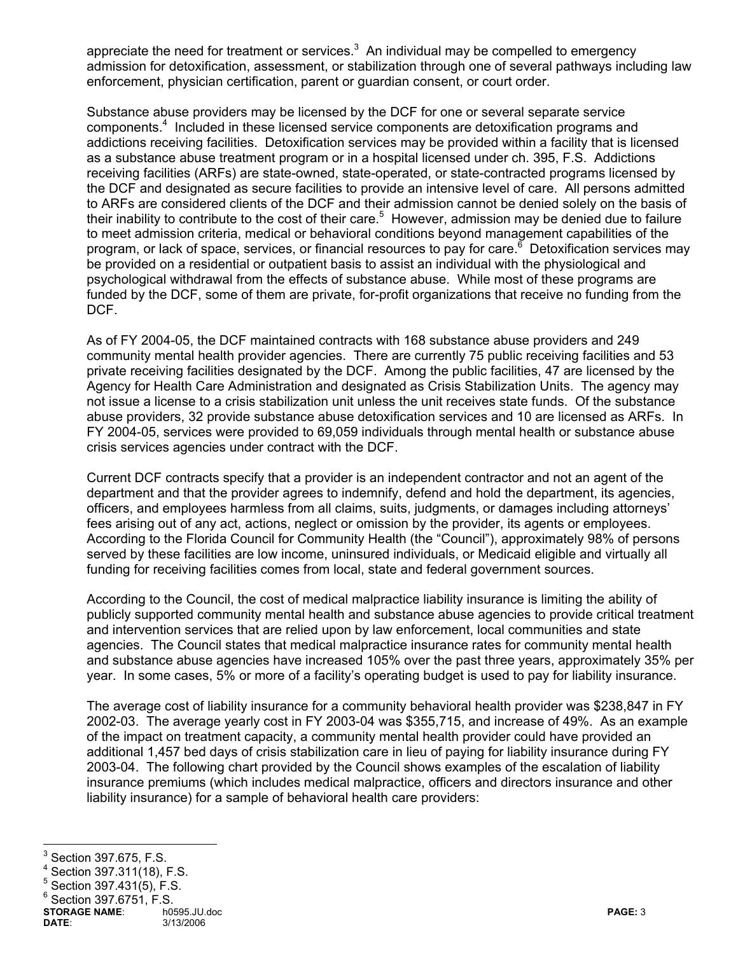appreciate the need for treatment or services. $3$  An individual may be compelled to emergency admission for detoxification, assessment, or stabilization through one of several pathways including law enforcement, physician certification, parent or guardian consent, or court order.

Substance abuse providers may be licensed by the DCF for one or several separate service components.<sup>4</sup> Included in these licensed service components are detoxification programs and addictions receiving facilities. Detoxification services may be provided within a facility that is licensed as a substance abuse treatment program or in a hospital licensed under ch. 395, F.S. Addictions receiving facilities (ARFs) are state-owned, state-operated, or state-contracted programs licensed by the DCF and designated as secure facilities to provide an intensive level of care. All persons admitted to ARFs are considered clients of the DCF and their admission cannot be denied solely on the basis of their inability to contribute to the cost of their care.<sup>5</sup> However, admission may be denied due to failure to meet admission criteria, medical or behavioral conditions beyond management capabilities of the program, or lack of space, services, or financial resources to pay for care.<sup>6</sup> Detoxification services may be provided on a residential or outpatient basis to assist an individual with the physiological and psychological withdrawal from the effects of substance abuse. While most of these programs are funded by the DCF, some of them are private, for-profit organizations that receive no funding from the DCF.

As of FY 2004-05, the DCF maintained contracts with 168 substance abuse providers and 249 community mental health provider agencies. There are currently 75 public receiving facilities and 53 private receiving facilities designated by the DCF. Among the public facilities, 47 are licensed by the Agency for Health Care Administration and designated as Crisis Stabilization Units. The agency may not issue a license to a crisis stabilization unit unless the unit receives state funds. Of the substance abuse providers, 32 provide substance abuse detoxification services and 10 are licensed as ARFs. In FY 2004-05, services were provided to 69,059 individuals through mental health or substance abuse crisis services agencies under contract with the DCF.

Current DCF contracts specify that a provider is an independent contractor and not an agent of the department and that the provider agrees to indemnify, defend and hold the department, its agencies, officers, and employees harmless from all claims, suits, judgments, or damages including attorneys' fees arising out of any act, actions, neglect or omission by the provider, its agents or employees. According to the Florida Council for Community Health (the "Council"), approximately 98% of persons served by these facilities are low income, uninsured individuals, or Medicaid eligible and virtually all funding for receiving facilities comes from local, state and federal government sources.

According to the Council, the cost of medical malpractice liability insurance is limiting the ability of publicly supported community mental health and substance abuse agencies to provide critical treatment and intervention services that are relied upon by law enforcement, local communities and state agencies. The Council states that medical malpractice insurance rates for community mental health and substance abuse agencies have increased 105% over the past three years, approximately 35% per year. In some cases, 5% or more of a facility's operating budget is used to pay for liability insurance.

The average cost of liability insurance for a community behavioral health provider was \$238,847 in FY 2002-03. The average yearly cost in FY 2003-04 was \$355,715, and increase of 49%. As an example of the impact on treatment capacity, a community mental health provider could have provided an additional 1,457 bed days of crisis stabilization care in lieu of paying for liability insurance during FY 2003-04. The following chart provided by the Council shows examples of the escalation of liability insurance premiums (which includes medical malpractice, officers and directors insurance and other liability insurance) for a sample of behavioral health care providers:

<sup>-&</sup>lt;br>3 Section 397.675, F.S.

<sup>4</sup> Section 397.311(18), F.S.

<sup>5</sup> Section 397.431(5), F.S.

 $6$  Section 397.6751, F.S.

**STORAGE NAME**: h0595.JU.doc **PAGE:** 3 **DATE**: 3/13/2006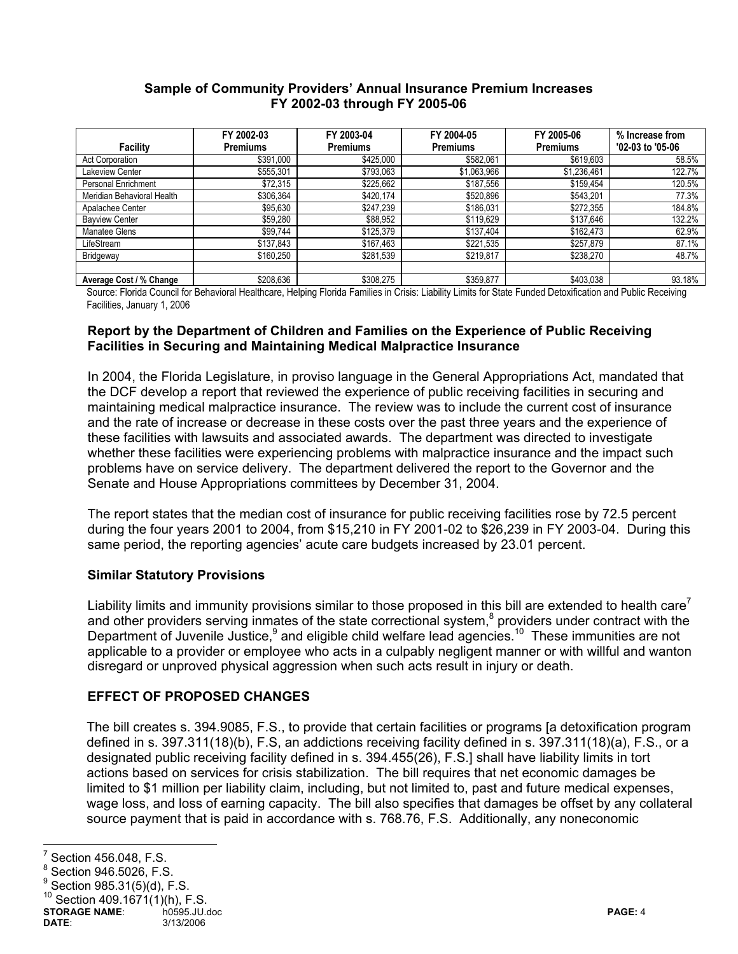#### **Sample of Community Providers' Annual Insurance Premium Increases FY 2002-03 through FY 2005-06**

|                            | FY 2002-03      | FY 2003-04      | FY 2004-05      | FY 2005-06      | % Increase from  |
|----------------------------|-----------------|-----------------|-----------------|-----------------|------------------|
| Facility                   | <b>Premiums</b> | <b>Premiums</b> | <b>Premiums</b> | <b>Premiums</b> | '02-03 to '05-06 |
| Act Corporation            | \$391,000       | \$425,000       | \$582,061       | \$619,603       | 58.5%            |
| Lakeview Center            | \$555,301       | \$793,063       | \$1,063,966     | \$1,236,461     | 122.7%           |
| Personal Enrichment        | \$72,315        | \$225,662       | \$187,556       | \$159,454       | 120.5%           |
| Meridian Behavioral Health | \$306,364       | \$420,174       | \$520,896       | \$543,201       | 77.3%            |
| Apalachee Center           | \$95,630        | \$247,239       | \$186,031       | \$272,355       | 184.8%           |
| <b>Bayview Center</b>      | \$59,280        | \$88,952        | \$119,629       | \$137,646       | 132.2%           |
| Manatee Glens              | \$99,744        | \$125,379       | \$137,404       | \$162,473       | 62.9%            |
| LifeStream                 | \$137,843       | \$167,463       | \$221,535       | \$257.879       | 87.1%            |
| Bridgeway                  | \$160,250       | \$281,539       | \$219,817       | \$238,270       | 48.7%            |
|                            |                 |                 |                 |                 |                  |
| Average Cost / % Change    | \$208,636       | \$308,275       | \$359,877       | \$403,038       | 93.18%           |

Source: Florida Council for Behavioral Healthcare, Helping Florida Families in Crisis: Liability Limits for State Funded Detoxification and Public Receiving Facilities, January 1, 2006

#### **Report by the Department of Children and Families on the Experience of Public Receiving Facilities in Securing and Maintaining Medical Malpractice Insurance**

In 2004, the Florida Legislature, in proviso language in the General Appropriations Act, mandated that the DCF develop a report that reviewed the experience of public receiving facilities in securing and maintaining medical malpractice insurance. The review was to include the current cost of insurance and the rate of increase or decrease in these costs over the past three years and the experience of these facilities with lawsuits and associated awards. The department was directed to investigate whether these facilities were experiencing problems with malpractice insurance and the impact such problems have on service delivery. The department delivered the report to the Governor and the Senate and House Appropriations committees by December 31, 2004.

The report states that the median cost of insurance for public receiving facilities rose by 72.5 percent during the four years 2001 to 2004, from \$15,210 in FY 2001-02 to \$26,239 in FY 2003-04. During this same period, the reporting agencies' acute care budgets increased by 23.01 percent.

# **Similar Statutory Provisions**

Liability limits and immunity provisions similar to those proposed in this bill are extended to health care<sup>7</sup> and other providers serving inmates of the state correctional system, $8$  providers under contract with the Department of Juvenile Justice,<sup>9</sup> and eligible child welfare lead agencies.<sup>10</sup> These immunities are not applicable to a provider or employee who acts in a culpably negligent manner or with willful and wanton disregard or unproved physical aggression when such acts result in injury or death.

# **EFFECT OF PROPOSED CHANGES**

The bill creates s. 394.9085, F.S., to provide that certain facilities or programs [a detoxification program defined in s. 397.311(18)(b), F.S, an addictions receiving facility defined in s. 397.311(18)(a), F.S., or a designated public receiving facility defined in s. 394.455(26), F.S.] shall have liability limits in tort actions based on services for crisis stabilization. The bill requires that net economic damages be limited to \$1 million per liability claim, including, but not limited to, past and future medical expenses, wage loss, and loss of earning capacity. The bill also specifies that damages be offset by any collateral source payment that is paid in accordance with s. 768.76, F.S. Additionally, any noneconomic

<sup>-&</sup>lt;br>7 Section 456.048, F.S.

<sup>8</sup> Section 946.5026, F.S.

<sup>9</sup> Section 985.31(5)(d), F.S.

Section  $409.1671(1)(h)$ , F.S.

**STORAGE NAME:** http://www.formage.org/windown.com/default/docentry/endinglename@example.org/windown.com/default/<br> **DATE:** 3/13/2006 3/13/2006 **DATE**: 3/13/2006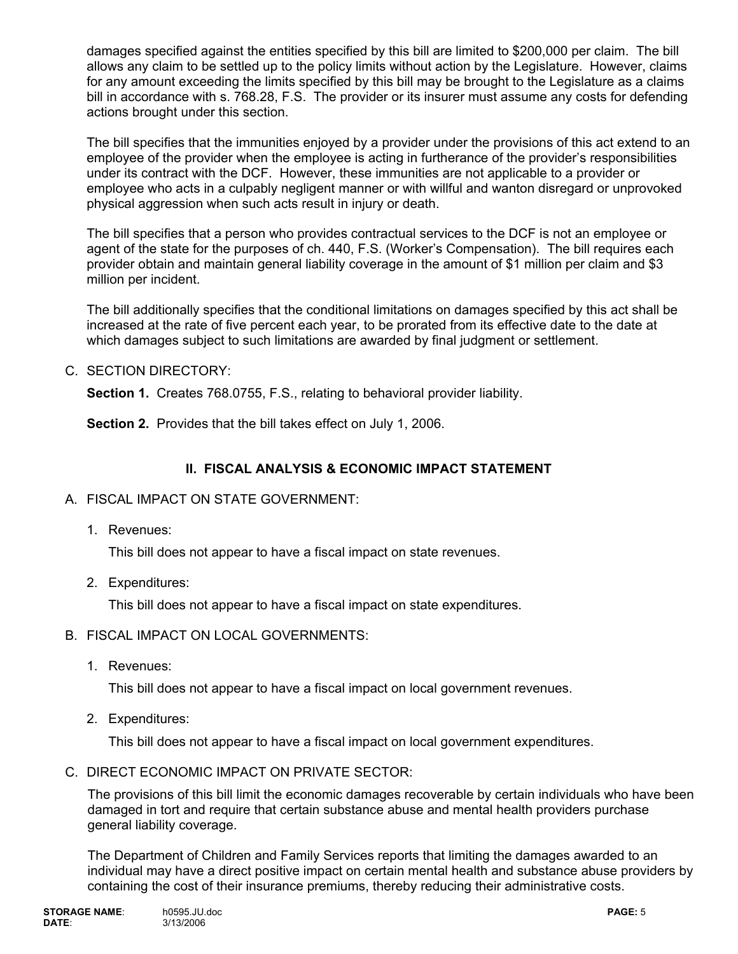damages specified against the entities specified by this bill are limited to \$200,000 per claim. The bill allows any claim to be settled up to the policy limits without action by the Legislature. However, claims for any amount exceeding the limits specified by this bill may be brought to the Legislature as a claims bill in accordance with s. 768.28, F.S. The provider or its insurer must assume any costs for defending actions brought under this section.

The bill specifies that the immunities enjoyed by a provider under the provisions of this act extend to an employee of the provider when the employee is acting in furtherance of the provider's responsibilities under its contract with the DCF. However, these immunities are not applicable to a provider or employee who acts in a culpably negligent manner or with willful and wanton disregard or unprovoked physical aggression when such acts result in injury or death.

The bill specifies that a person who provides contractual services to the DCF is not an employee or agent of the state for the purposes of ch. 440, F.S. (Worker's Compensation). The bill requires each provider obtain and maintain general liability coverage in the amount of \$1 million per claim and \$3 million per incident.

The bill additionally specifies that the conditional limitations on damages specified by this act shall be increased at the rate of five percent each year, to be prorated from its effective date to the date at which damages subject to such limitations are awarded by final judgment or settlement.

C. SECTION DIRECTORY:

**Section 1.** Creates 768.0755, F.S., relating to behavioral provider liability.

**Section 2.** Provides that the bill takes effect on July 1, 2006.

# **II. FISCAL ANALYSIS & ECONOMIC IMPACT STATEMENT**

- A. FISCAL IMPACT ON STATE GOVERNMENT:
	- 1. Revenues:

This bill does not appear to have a fiscal impact on state revenues.

2. Expenditures:

This bill does not appear to have a fiscal impact on state expenditures.

- B. FISCAL IMPACT ON LOCAL GOVERNMENTS:
	- 1. Revenues:

This bill does not appear to have a fiscal impact on local government revenues.

2. Expenditures:

This bill does not appear to have a fiscal impact on local government expenditures.

C. DIRECT ECONOMIC IMPACT ON PRIVATE SECTOR:

The provisions of this bill limit the economic damages recoverable by certain individuals who have been damaged in tort and require that certain substance abuse and mental health providers purchase general liability coverage.

The Department of Children and Family Services reports that limiting the damages awarded to an individual may have a direct positive impact on certain mental health and substance abuse providers by containing the cost of their insurance premiums, thereby reducing their administrative costs.